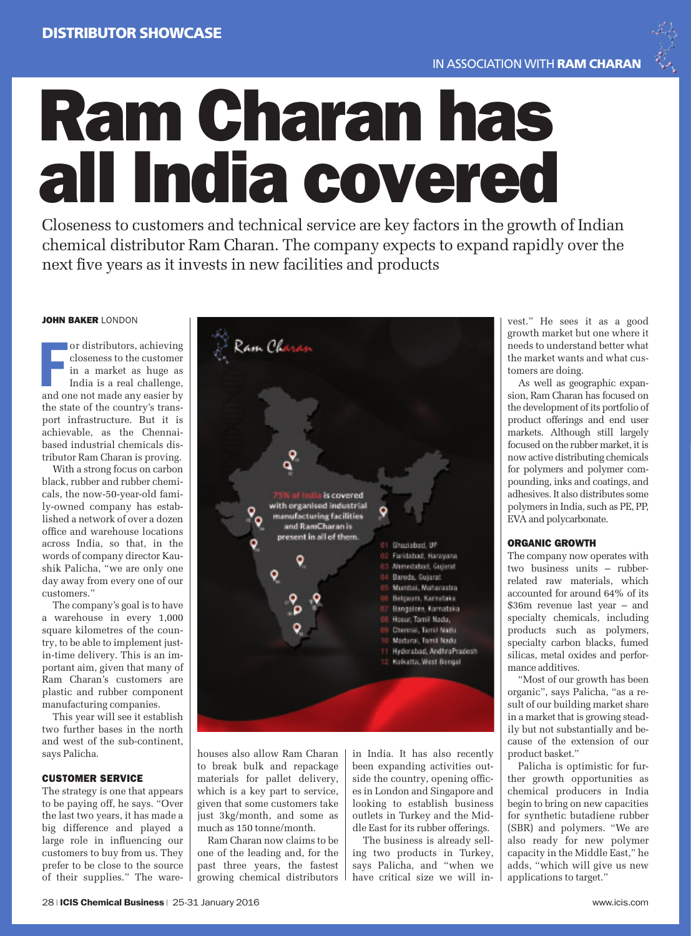

Closeness to customers and technical service are key factors in the growth of Indian chemical distributor Ram Charan. The company expects to expand rapidly over the next five years as it invests in new facilities and products

## JOHN BAKER LONDON

or distributors, achieving<br>closeness to the customer<br>in a market as huge as<br>India is a real challenge,<br>and one not made any easier by or distributors, achieving closeness to the customer in a market as huge as India is a real challenge, the state of the country's transport infrastructure. But it is achievable, as the Chennaibased industrial chemicals distributor Ram Charan is proving.

With a strong focus on carbon black, rubber and rubber chemicals, the now-50-year-old family-owned company has established a network of over a dozen office and warehouse locations across India, so that, in the words of company director Kaushik Palicha, "we are only one day away from every one of our customers."

The company's goal is to have a warehouse in every 1,000 square kilometres of the country, to be able to implement justin-time delivery. This is an important aim, given that many of Ram Charan's customers are plastic and rubber component manufacturing companies.

This year will see it establish two further bases in the north and west of the sub-continent, says Palicha.

#### CUSTOMER SERVICE

The strategy is one that appears to be paying off, he says. "Over the last two years, it has made a big difference and played a large role in influencing our customers to buy from us. They prefer to be close to the source of their supplies." The wareRam Charan 75% of India is covered<br>with organised industrial manufacturing facilities and RamCharan is present in all of them. 01 Ghaziabad, UP Faridabad, Harayana 03 Ahmedabad, Guiarat 04 Baroda, Gujarat Mumbei, Maharastra Belgaum, Kamataka Bangalore, Karnataka Hosur, Tamil Nadu, Chennel, Tamil Nadu Madural, Tomil Nadu 11 Hyderabad, AndhraPradesh **Kolkatta, West Bengal** 

houses also allow Ram Charan to break bulk and repackage materials for pallet delivery, which is a key part to service, given that some customers take just 3kg/month, and some as much as 150 tonne/month.

Ram Charan now claims to be one of the leading and, for the past three years, the fastest growing chemical distributors in India. It has also recently been expanding activities outside the country, opening offices in London and Singapore and looking to establish business outlets in Turkey and the Middle East for its rubber offerings.

The business is already selling two products in Turkey, says Palicha, and "when we have critical size we will invest." He sees it as a good growth market but one where it needs to understand better what the market wants and what customers are doing.

As well as geographic expansion, Ram Charan has focused on the development of its portfolio of product offerings and end user markets. Although still largely focused on the rubber market, it is now active distributing chemicals for polymers and polymer compounding, inks and coatings, and adhesives. It also distributes some polymers in India, such as PE, PP, EVA and polycarbonate.

### ORGANIC GROWTH

The company now operates with two business units – rubberrelated raw materials, which accounted for around 64% of its \$36m revenue last year – and specialty chemicals, including products such as polymers, specialty carbon blacks, fumed silicas, metal oxides and performance additives.

"Most of our growth has been organic", says Palicha, "as a result of our building market share in a market that is growing steadily but not substantially and because of the extension of our product basket."

Palicha is optimistic for further growth opportunities as chemical producers in India begin to bring on new capacities for synthetic butadiene rubber (SBR) and polymers. "We are also ready for new polymer capacity in the Middle East," he adds, "which will give us new applications to target."